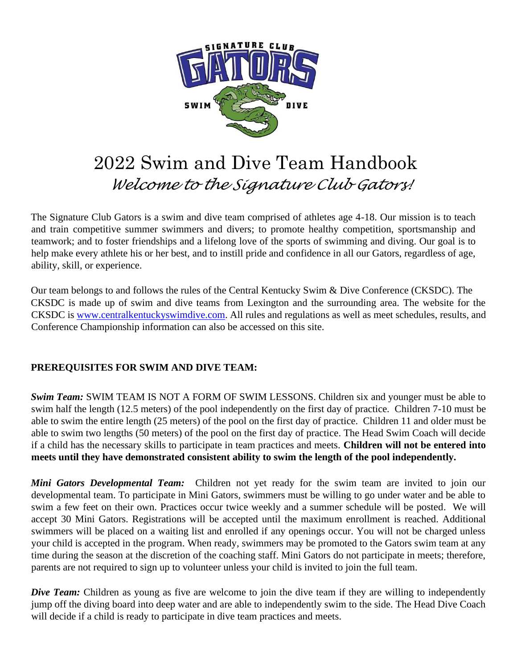

# 2022 Swim and Dive Team Handbook *Welcome to the Signature Club Gators!*

The Signature Club Gators is a swim and dive team comprised of athletes age 4-18. Our mission is to teach and train competitive summer swimmers and divers; to promote healthy competition, sportsmanship and teamwork; and to foster friendships and a lifelong love of the sports of swimming and diving. Our goal is to help make every athlete his or her best, and to instill pride and confidence in all our Gators, regardless of age, ability, skill, or experience.

Our team belongs to and follows the rules of the Central Kentucky Swim & Dive Conference (CKSDC). The CKSDC is made up of swim and dive teams from Lexington and the surrounding area. The website for the CKSDC is www.centralkentuckyswimdive.com. All rules and regulations as well as meet schedules, results, and Conference Championship information can also be accessed on this site.

#### **PREREQUISITES FOR SWIM AND DIVE TEAM:**

*Swim Team:* SWIM TEAM IS NOT A FORM OF SWIM LESSONS. Children six and younger must be able to swim half the length (12.5 meters) of the pool independently on the first day of practice. Children 7-10 must be able to swim the entire length (25 meters) of the pool on the first day of practice. Children 11 and older must be able to swim two lengths (50 meters) of the pool on the first day of practice. The Head Swim Coach will decide if a child has the necessary skills to participate in team practices and meets. **Children will not be entered into meets until they have demonstrated consistent ability to swim the length of the pool independently.**

*Mini Gators Developmental Team:* Children not yet ready for the swim team are invited to join our developmental team. To participate in Mini Gators, swimmers must be willing to go under water and be able to swim a few feet on their own. Practices occur twice weekly and a summer schedule will be posted. We will accept 30 Mini Gators. Registrations will be accepted until the maximum enrollment is reached. Additional swimmers will be placed on a waiting list and enrolled if any openings occur. You will not be charged unless your child is accepted in the program. When ready, swimmers may be promoted to the Gators swim team at any time during the season at the discretion of the coaching staff. Mini Gators do not participate in meets; therefore, parents are not required to sign up to volunteer unless your child is invited to join the full team.

*Dive Team:* Children as young as five are welcome to join the dive team if they are willing to independently jump off the diving board into deep water and are able to independently swim to the side. The Head Dive Coach will decide if a child is ready to participate in dive team practices and meets.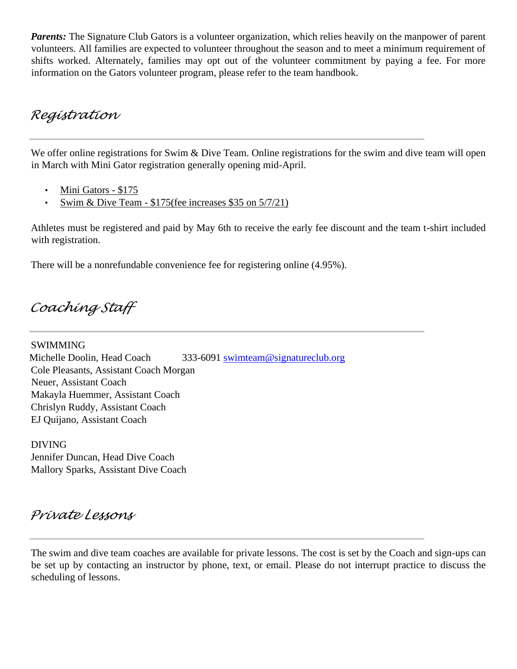*Parents:* The Signature Club Gators is a volunteer organization, which relies heavily on the manpower of parent volunteers. All families are expected to volunteer throughout the season and to meet a minimum requirement of shifts worked. Alternately, families may opt out of the volunteer commitment by paying a fee. For more information on the Gators volunteer program, please refer to the team handbook.

### *Registration*

We offer online registrations for Swim & Dive Team. Online registrations for the swim and dive team will open in March with Mini Gator registration generally opening mid-April.

- Mini Gators \$175
- Swim & Dive Team  $$175$ (fee increases \$35 on  $5/7/21$ )

Athletes must be registered and paid by May 6th to receive the early fee discount and the team t-shirt included with registration.

There will be a nonrefundable convenience fee for registering online (4.95%).

*Coaching Staff* 

SWIMMING Michelle Doolin, Head Coach 333-6091 swimteam@signatureclub.org Cole Pleasants, Assistant Coach Morgan Neuer, Assistant Coach Makayla Huemmer, Assistant Coach Chrislyn Ruddy, Assistant Coach EJ Quijano, Assistant Coach

DIVING Jennifer Duncan, Head Dive Coach Mallory Sparks, Assistant Dive Coach

# *Private Lessons*

The swim and dive team coaches are available for private lessons. The cost is set by the Coach and sign-ups can be set up by contacting an instructor by phone, text, or email. Please do not interrupt practice to discuss the scheduling of lessons.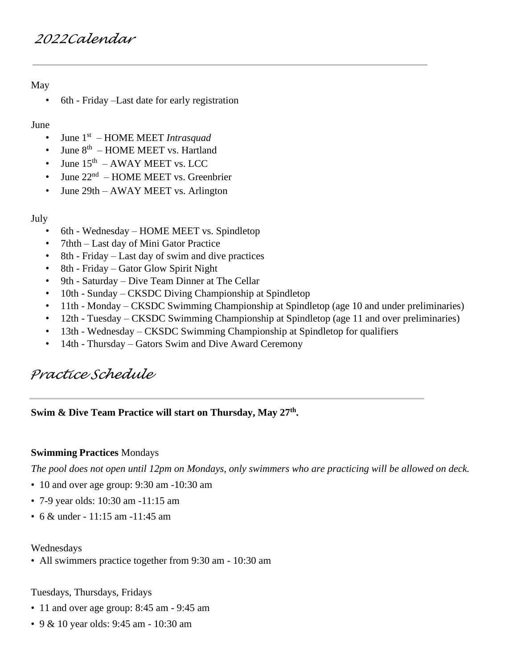# *2022Calendar*

#### May

• 6th - Friday –Last date for early registration

#### June

- June 1 st HOME MEET *Intrasquad*
- June 8<sup>th</sup> HOME MEET vs. Hartland
- June  $15<sup>th</sup>$  AWAY MEET vs. LCC
- June  $22<sup>nd</sup>$  HOME MEET vs. Greenbrier
- June 29th AWAY MEET vs. Arlington

#### July

- 6th Wednesday HOME MEET vs. Spindletop
- 7thth Last day of Mini Gator Practice
- 8th Friday Last day of swim and dive practices
- 8th Friday Gator Glow Spirit Night
- 9th Saturday Dive Team Dinner at The Cellar
- 10th Sunday CKSDC Diving Championship at Spindletop
- 11th Monday CKSDC Swimming Championship at Spindletop (age 10 and under preliminaries)
- 12th Tuesday CKSDC Swimming Championship at Spindletop (age 11 and over preliminaries)
- 13th Wednesday CKSDC Swimming Championship at Spindletop for qualifiers
- 14th Thursday Gators Swim and Dive Award Ceremony

# *Practice Schedule*

**Swim & Dive Team Practice will start on Thursday, May 27th .** 

#### **Swimming Practices** Mondays

*The pool does not open until 12pm on Mondays, only swimmers who are practicing will be allowed on deck.* 

- 10 and over age group: 9:30 am -10:30 am
- 7-9 year olds: 10:30 am -11:15 am
- 6 & under 11:15 am -11:45 am

#### Wednesdays

• All swimmers practice together from 9:30 am - 10:30 am

Tuesdays, Thursdays, Fridays

- 11 and over age group: 8:45 am 9:45 am
- 9 & 10 year olds: 9:45 am 10:30 am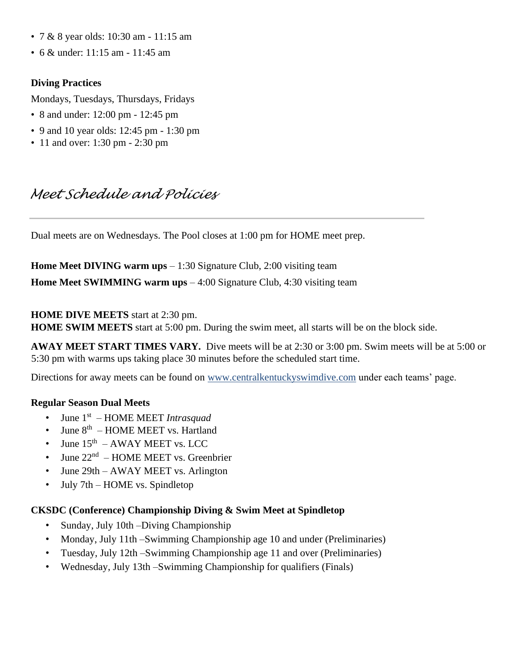- 7 & 8 year olds: 10:30 am 11:15 am
- 6 & under: 11:15 am 11:45 am

#### **Diving Practices**

Mondays, Tuesdays, Thursdays, Fridays

- 8 and under: 12:00 pm 12:45 pm
- 9 and 10 year olds: 12:45 pm 1:30 pm
- 11 and over: 1:30 pm 2:30 pm

# *Meet Schedule and Policies*

Dual meets are on Wednesdays. The Pool closes at 1:00 pm for HOME meet prep.

**Home Meet DIVING warm ups** – 1:30 Signature Club, 2:00 visiting team **Home Meet SWIMMING warm ups** – 4:00 Signature Club, 4:30 visiting team

#### **HOME DIVE MEETS** start at 2:30 pm.

**HOME SWIM MEETS** start at 5:00 pm. During the swim meet, all starts will be on the block side.

**AWAY MEET START TIMES VARY.** Dive meets will be at 2:30 or 3:00 pm. Swim meets will be at 5:00 or 5:30 pm with warms ups taking place 30 minutes before the scheduled start time.

Directions for away meets can be found on www.centralkentuckyswimdive.com under each teams' page.

#### **Regular Season Dual Meets**

- June 1st HOME MEET *Intrasquad*
- June 8<sup>th</sup> HOME MEET vs. Hartland
- June  $15<sup>th</sup>$  AWAY MEET vs. LCC
- June  $22<sup>nd</sup>$  HOME MEET vs. Greenbrier
- June 29th AWAY MEET vs. Arlington
- July 7th HOME vs. Spindletop

#### **CKSDC (Conference) Championship Diving & Swim Meet at Spindletop**

- Sunday, July 10th –Diving Championship
- Monday, July 11th –Swimming Championship age 10 and under (Preliminaries)
- Tuesday, July 12th –Swimming Championship age 11 and over (Preliminaries)
- Wednesday, July 13th –Swimming Championship for qualifiers (Finals)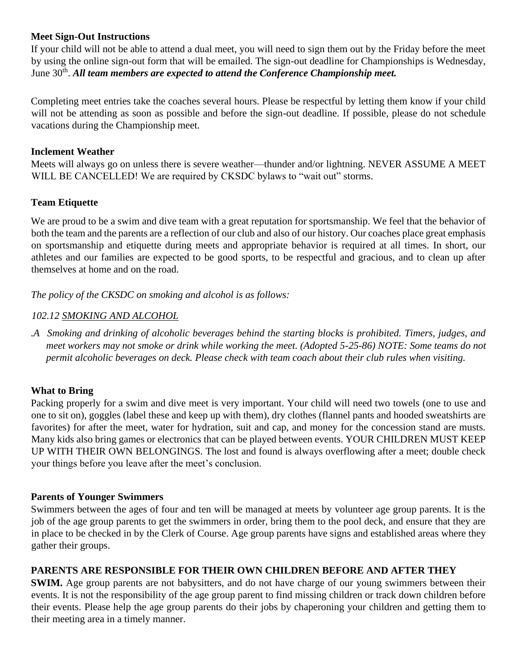#### **Meet Sign-Out Instructions**

If your child will not be able to attend a dual meet, you will need to sign them out by the Friday before the meet by using the online sign-out form that will be emailed. The sign-out deadline for Championships is Wednesday, June 30<sup>th</sup>. All team members are expected to attend the Conference Championship meet.

Completing meet entries take the coaches several hours. Please be respectful by letting them know if your child will not be attending as soon as possible and before the sign-out deadline. If possible, please do not schedule vacations during the Championship meet.

#### **Inclement Weather**

Meets will always go on unless there is severe weather—thunder and/or lightning. NEVER ASSUME A MEET WILL BE CANCELLED! We are required by CKSDC bylaws to "wait out" storms.

#### **Team Etiquette**

We are proud to be a swim and dive team with a great reputation for sportsmanship. We feel that the behavior of both the team and the parents are a reflection of our club and also of our history. Our coaches place great emphasis on sportsmanship and etiquette during meets and appropriate behavior is required at all times. In short, our athletes and our families are expected to be good sports, to be respectful and gracious, and to clean up after themselves at home and on the road.

*The policy of the CKSDC on smoking and alcohol is as follows:* 

#### *102.12 SMOKING AND ALCOHOL*

*.A Smoking and drinking of alcoholic beverages behind the starting blocks is prohibited. Timers, judges, and meet workers may not smoke or drink while working the meet. (Adopted 5-25-86) NOTE: Some teams do not permit alcoholic beverages on deck. Please check with team coach about their club rules when visiting.* 

#### **What to Bring**

Packing properly for a swim and dive meet is very important. Your child will need two towels (one to use and one to sit on), goggles (label these and keep up with them), dry clothes (flannel pants and hooded sweatshirts are favorites) for after the meet, water for hydration, suit and cap, and money for the concession stand are musts. Many kids also bring games or electronics that can be played between events. YOUR CHILDREN MUST KEEP UP WITH THEIR OWN BELONGINGS. The lost and found is always overflowing after a meet; double check your things before you leave after the meet's conclusion.

#### **Parents of Younger Swimmers**

Swimmers between the ages of four and ten will be managed at meets by volunteer age group parents. It is the job of the age group parents to get the swimmers in order, bring them to the pool deck, and ensure that they are in place to be checked in by the Clerk of Course. Age group parents have signs and established areas where they gather their groups.

#### **PARENTS ARE RESPONSIBLE FOR THEIR OWN CHILDREN BEFORE AND AFTER THEY**

**SWIM.** Age group parents are not babysitters, and do not have charge of our young swimmers between their events. It is not the responsibility of the age group parent to find missing children or track down children before their events. Please help the age group parents do their jobs by chaperoning your children and getting them to their meeting area in a timely manner.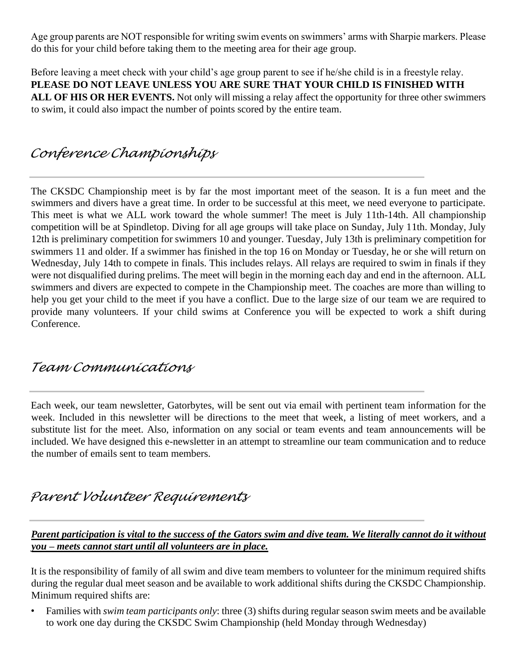Age group parents are NOT responsible for writing swim events on swimmers' arms with Sharpie markers. Please do this for your child before taking them to the meeting area for their age group.

Before leaving a meet check with your child's age group parent to see if he/she child is in a freestyle relay. **PLEASE DO NOT LEAVE UNLESS YOU ARE SURE THAT YOUR CHILD IS FINISHED WITH ALL OF HIS OR HER EVENTS.** Not only will missing a relay affect the opportunity for three other swimmers to swim, it could also impact the number of points scored by the entire team.

# *Conference Championships*

The CKSDC Championship meet is by far the most important meet of the season. It is a fun meet and the swimmers and divers have a great time. In order to be successful at this meet, we need everyone to participate. This meet is what we ALL work toward the whole summer! The meet is July 11th-14th. All championship competition will be at Spindletop. Diving for all age groups will take place on Sunday, July 11th. Monday, July 12th is preliminary competition for swimmers 10 and younger. Tuesday, July 13th is preliminary competition for swimmers 11 and older. If a swimmer has finished in the top 16 on Monday or Tuesday, he or she will return on Wednesday, July 14th to compete in finals. This includes relays. All relays are required to swim in finals if they were not disqualified during prelims. The meet will begin in the morning each day and end in the afternoon. ALL swimmers and divers are expected to compete in the Championship meet. The coaches are more than willing to help you get your child to the meet if you have a conflict. Due to the large size of our team we are required to provide many volunteers. If your child swims at Conference you will be expected to work a shift during Conference.

### *Team Communications*

Each week, our team newsletter, Gatorbytes, will be sent out via email with pertinent team information for the week. Included in this newsletter will be directions to the meet that week, a listing of meet workers, and a substitute list for the meet. Also, information on any social or team events and team announcements will be included. We have designed this e-newsletter in an attempt to streamline our team communication and to reduce the number of emails sent to team members.

# *Parent Volunteer Requirements*

*Parent participation is vital to the success of the Gators swim and dive team. We literally cannot do it without you – meets cannot start until all volunteers are in place.*

It is the responsibility of family of all swim and dive team members to volunteer for the minimum required shifts during the regular dual meet season and be available to work additional shifts during the CKSDC Championship. Minimum required shifts are:

• Families with *swim team participants only*: three (3) shifts during regular season swim meets and be available to work one day during the CKSDC Swim Championship (held Monday through Wednesday)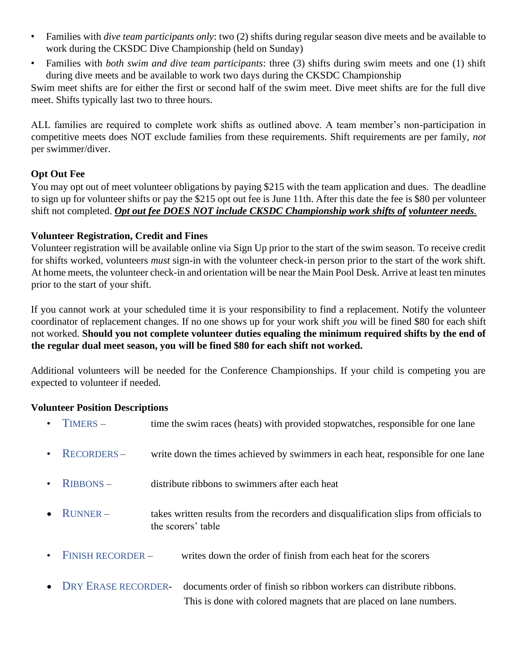- Families with *dive team participants only*: two (2) shifts during regular season dive meets and be available to work during the CKSDC Dive Championship (held on Sunday)
- Families with *both swim and dive team participants*: three (3) shifts during swim meets and one (1) shift during dive meets and be available to work two days during the CKSDC Championship

Swim meet shifts are for either the first or second half of the swim meet. Dive meet shifts are for the full dive meet. Shifts typically last two to three hours.

ALL families are required to complete work shifts as outlined above. A team member's non-participation in competitive meets does NOT exclude families from these requirements. Shift requirements are per family, *not* per swimmer/diver.

#### **Opt Out Fee**

You may opt out of meet volunteer obligations by paying \$215 with the team application and dues. The deadline to sign up for volunteer shifts or pay the \$215 opt out fee is June 11th. After this date the fee is \$80 per volunteer shift not completed. *Opt out fee DOES NOT include CKSDC Championship work shifts of volunteer needs.*

#### **Volunteer Registration, Credit and Fines**

Volunteer registration will be available online via Sign Up prior to the start of the swim season. To receive credit for shifts worked, volunteers *must* sign-in with the volunteer check-in person prior to the start of the work shift. At home meets, the volunteer check-in and orientation will be near the Main Pool Desk. Arrive at least ten minutes prior to the start of your shift.

If you cannot work at your scheduled time it is your responsibility to find a replacement. Notify the volunteer coordinator of replacement changes. If no one shows up for your work shift *you* will be fined \$80 for each shift not worked. **Should you not complete volunteer duties equaling the minimum required shifts by the end of the regular dual meet season, you will be fined \$80 for each shift not worked.** 

Additional volunteers will be needed for the Conference Championships. If your child is competing you are expected to volunteer if needed.

#### **Volunteer Position Descriptions**

| $\bullet$ | TIMERS -                 | time the swim races (heats) with provided stopwatches, responsible for one lane                                                           |
|-----------|--------------------------|-------------------------------------------------------------------------------------------------------------------------------------------|
| $\bullet$ | <b>RECORDERS-</b>        | write down the times achieved by swimmers in each heat, responsible for one lane                                                          |
| $\bullet$ | <b>RIBBONS-</b>          | distribute ribbons to swimmers after each heat                                                                                            |
|           | $\bullet$ RUNNER –       | takes written results from the recorders and disqualification slips from officials to<br>the scorers' table                               |
| $\bullet$ | <b>FINISH RECORDER -</b> | writes down the order of finish from each heat for the scorers                                                                            |
|           | • DRY ERASE RECORDER-    | documents order of finish so ribbon workers can distribute ribbons.<br>This is done with colored magnets that are placed on lane numbers. |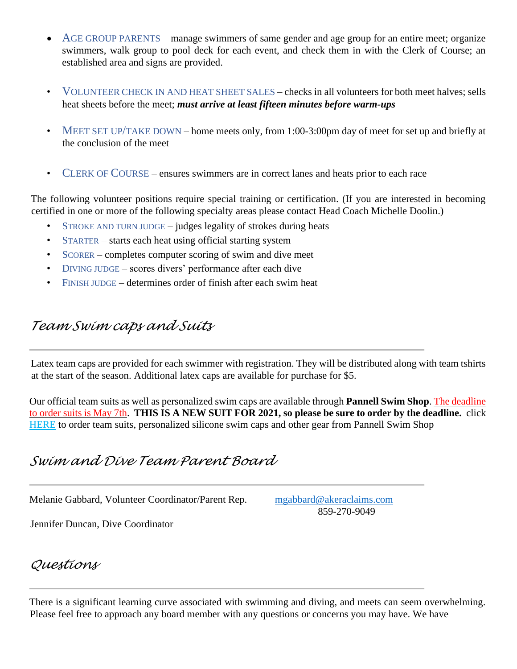- AGE GROUP PARENTS manage swimmers of same gender and age group for an entire meet; organize swimmers, walk group to pool deck for each event, and check them in with the Clerk of Course; an established area and signs are provided.
- VOLUNTEER CHECK IN AND HEAT SHEET SALES checks in all volunteers for both meet halves; sells heat sheets before the meet; *must arrive at least fifteen minutes before warm-ups*
- MEET SET UP/TAKE DOWN home meets only, from 1:00-3:00pm day of meet for set up and briefly at the conclusion of the meet
- CLERK OF COURSE ensures swimmers are in correct lanes and heats prior to each race

The following volunteer positions require special training or certification. (If you are interested in becoming certified in one or more of the following specialty areas please contact Head Coach Michelle Doolin.)

- STROKE AND TURN JUDGE  $-$  judges legality of strokes during heats
- STARTER starts each heat using official starting system
- SCORER completes computer scoring of swim and dive meet
- DIVING JUDGE scores divers' performance after each dive
- FINISH JUDGE determines order of finish after each swim heat

# *Team Swim caps and Suits*

Latex team caps are provided for each swimmer with registration. They will be distributed along with team tshirts at the start of the season. Additional latex caps are available for purchase for \$5.

Our official team suits as well as personalized swim caps are available through **Pannell Swim Shop**. The deadline to order suits is May 7th. **THIS IS A NEW SUIT FOR 2021, so please be sure to order by the deadline.** click [HERE](https://www.pannellswimshop.com/collections/signature-club-swim-team) to order team suits, personalized silicone swim caps and other gear from Pannell Swim Shop

# *Swim and Dive Team Parent Board*

Melanie Gabbard, Volunteer Coordinator/Parent Rep. [mgabbard@akeraclaims.com](mailto:mgabbard@akeraclaims.com)

859-270-9049

Jennifer Duncan, Dive Coordinator

*Questions* 

There is a significant learning curve associated with swimming and diving, and meets can seem overwhelming. Please feel free to approach any board member with any questions or concerns you may have. We have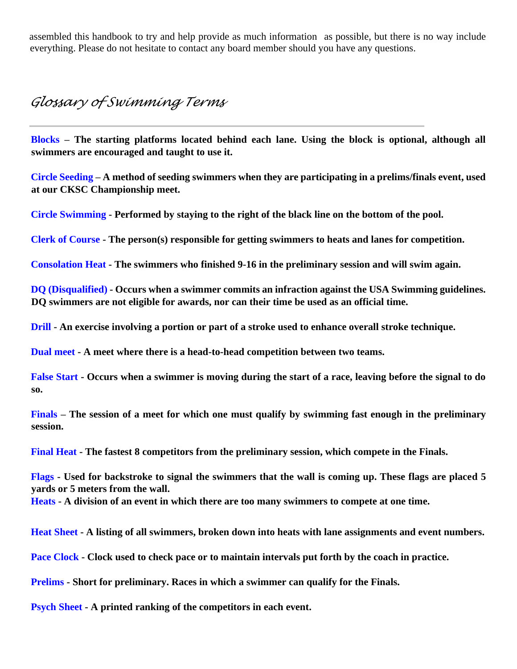assembled this handbook to try and help provide as much information as possible, but there is no way include everything. Please do not hesitate to contact any board member should you have any questions.

### *Glossary of Swimming Terms*

**Blocks – The starting platforms located behind each lane. Using the block is optional, although all swimmers are encouraged and taught to use it.** 

**Circle Seeding – A method of seeding swimmers when they are participating in a prelims/finals event, used at our CKSC Championship meet.** 

**Circle Swimming - Performed by staying to the right of the black line on the bottom of the pool.** 

**Clerk of Course - The person(s) responsible for getting swimmers to heats and lanes for competition.** 

**Consolation Heat - The swimmers who finished 9-16 in the preliminary session and will swim again.** 

**DQ (Disqualified) - Occurs when a swimmer commits an infraction against the USA Swimming guidelines. DQ swimmers are not eligible for awards, nor can their time be used as an official time.** 

**Drill - An exercise involving a portion or part of a stroke used to enhance overall stroke technique.** 

**Dual meet - A meet where there is a head-to-head competition between two teams.** 

**False Start - Occurs when a swimmer is moving during the start of a race, leaving before the signal to do so.** 

**Finals – The session of a meet for which one must qualify by swimming fast enough in the preliminary session.** 

**Final Heat - The fastest 8 competitors from the preliminary session, which compete in the Finals.** 

**Flags - Used for backstroke to signal the swimmers that the wall is coming up. These flags are placed 5 yards or 5 meters from the wall. Heats - A division of an event in which there are too many swimmers to compete at one time.** 

**Heat Sheet - A listing of all swimmers, broken down into heats with lane assignments and event numbers.** 

**Pace Clock - Clock used to check pace or to maintain intervals put forth by the coach in practice.** 

**Prelims - Short for preliminary. Races in which a swimmer can qualify for the Finals.** 

**Psych Sheet - A printed ranking of the competitors in each event.**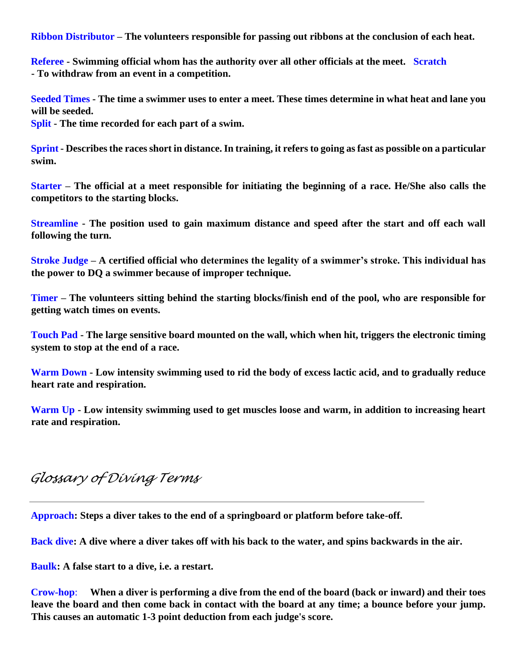**Ribbon Distributor – The volunteers responsible for passing out ribbons at the conclusion of each heat.** 

**Referee - Swimming official whom has the authority over all other officials at the meet. Scratch - To withdraw from an event in a competition.** 

**Seeded Times - The time a swimmer uses to enter a meet. These times determine in what heat and lane you will be seeded.** 

**Split - The time recorded for each part of a swim.** 

**Sprint - Describes the races short in distance. In training, it refers to going as fast as possible on a particular swim.** 

**Starter – The official at a meet responsible for initiating the beginning of a race. He/She also calls the competitors to the starting blocks.** 

**Streamline - The position used to gain maximum distance and speed after the start and off each wall following the turn.** 

**Stroke Judge – A certified official who determines the legality of a swimmer's stroke. This individual has the power to DQ a swimmer because of improper technique.** 

**Timer – The volunteers sitting behind the starting blocks/finish end of the pool, who are responsible for getting watch times on events.** 

**Touch Pad - The large sensitive board mounted on the wall, which when hit, triggers the electronic timing system to stop at the end of a race.** 

**Warm Down - Low intensity swimming used to rid the body of excess lactic acid, and to gradually reduce heart rate and respiration.** 

**Warm Up - Low intensity swimming used to get muscles loose and warm, in addition to increasing heart rate and respiration.** 

### *Glossary of Diving Terms*

**Approach: Steps a diver takes to the end of a springboard or platform before take-off.** 

**Back dive: A dive where a diver takes off with his back to the water, and spins backwards in the air.**

**Baulk: A false start to a dive, i.e. a restart.** 

**Crow-hop**: **When a diver is performing a dive from the end of the board (back or inward) and their toes leave the board and then come back in contact with the board at any time; a bounce before your jump. This causes an automatic 1-3 point deduction from each judge's score.**